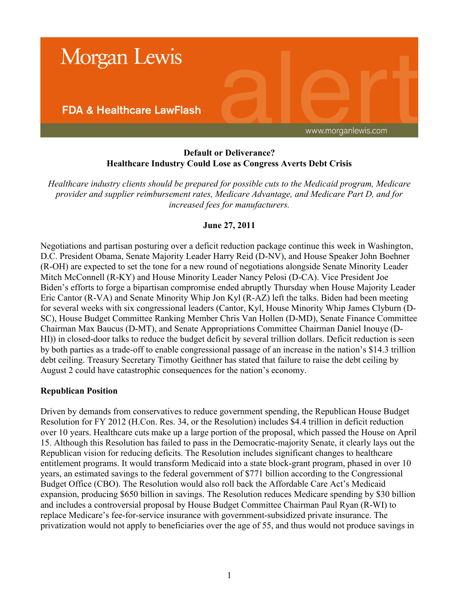

### **Default or Deliverance? Healthcare Industry Could Lose as Congress Averts Debt Crisis**

*Healthcare industry clients should be prepared for possible cuts to the Medicaid program, Medicare provider and supplier reimbursement rates, Medicare Advantage, and Medicare Part D, and for increased fees for manufacturers.*

## **June 27, 2011**

Negotiations and partisan posturing over a deficit reduction package continue this week in Washington, D.C. President Obama, Senate Majority Leader Harry Reid (D-NV), and House Speaker John Boehner (R-OH) are expected to set the tone for a new round of negotiations alongside Senate Minority Leader Mitch McConnell (R-KY) and House Minority Leader Nancy Pelosi (D-CA). Vice President Joe Biden's efforts to forge a bipartisan compromise ended abruptly Thursday when House Majority Leader Eric Cantor (R-VA) and Senate Minority Whip Jon Kyl (R-AZ) left the talks. Biden had been meeting for several weeks with six congressional leaders (Cantor, Kyl, House Minority Whip James Clyburn (D-SC), House Budget Committee Ranking Member Chris Van Hollen (D-MD), Senate Finance Committee Chairman Max Baucus (D-MT), and Senate Appropriations Committee Chairman Daniel Inouye (D-HI)) in closed-door talks to reduce the budget deficit by several trillion dollars. Deficit reduction is seen by both parties as a trade-off to enable congressional passage of an increase in the nation's \$14.3 trillion debt ceiling. Treasury Secretary Timothy Geithner has stated that failure to raise the debt ceiling by August 2 could have catastrophic consequences for the nation's economy.

#### **Republican Position**

Driven by demands from conservatives to reduce government spending, the Republican House Budget Resolution for FY 2012 (H.Con. Res. 34, or the Resolution) includes \$4.4 trillion in deficit reduction over 10 years. Healthcare cuts make up a large portion of the proposal, which passed the House on April 15. Although this Resolution has failed to pass in the Democratic-majority Senate, it clearly lays out the Republican vision for reducing deficits. The Resolution includes significant changes to healthcare entitlement programs. It would transform Medicaid into a state block-grant program, phased in over 10 years, an estimated savings to the federal government of \$771 billion according to the Congressional Budget Office (CBO). The Resolution would also roll back the Affordable Care Act's Medicaid expansion, producing \$650 billion in savings. The Resolution reduces Medicare spending by \$30 billion and includes a controversial proposal by House Budget Committee Chairman Paul Ryan (R-WI) to replace Medicare's fee-for-service insurance with government-subsidized private insurance. The privatization would not apply to beneficiaries over the age of 55, and thus would not produce savings in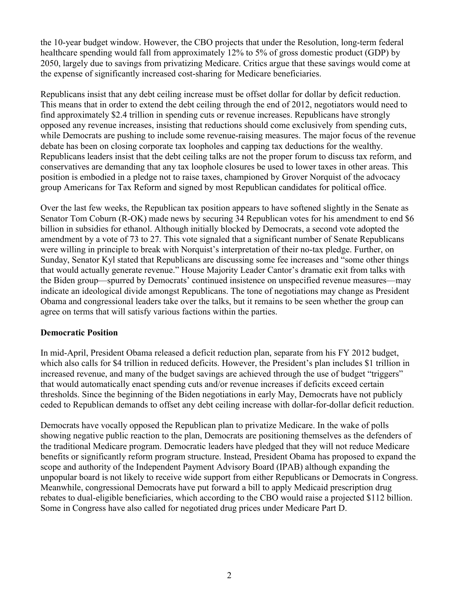the 10-year budget window. However, the CBO projects that under the Resolution, long-term federal healthcare spending would fall from approximately 12% to 5% of gross domestic product (GDP) by 2050, largely due to savings from privatizing Medicare. Critics argue that these savings would come at the expense of significantly increased cost-sharing for Medicare beneficiaries.

Republicans insist that any debt ceiling increase must be offset dollar for dollar by deficit reduction. This means that in order to extend the debt ceiling through the end of 2012, negotiators would need to find approximately \$2.4 trillion in spending cuts or revenue increases. Republicans have strongly opposed any revenue increases, insisting that reductions should come exclusively from spending cuts, while Democrats are pushing to include some revenue-raising measures. The major focus of the revenue debate has been on closing corporate tax loopholes and capping tax deductions for the wealthy. Republicans leaders insist that the debt ceiling talks are not the proper forum to discuss tax reform, and conservatives are demanding that any tax loophole closures be used to lower taxes in other areas. This position is embodied in a pledge not to raise taxes, championed by Grover Norquist of the advocacy group Americans for Tax Reform and signed by most Republican candidates for political office.

Over the last few weeks, the Republican tax position appears to have softened slightly in the Senate as Senator Tom Coburn (R-OK) made news by securing 34 Republican votes for his amendment to end \$6 billion in subsidies for ethanol. Although initially blocked by Democrats, a second vote adopted the amendment by a vote of 73 to 27. This vote signaled that a significant number of Senate Republicans were willing in principle to break with Norquist's interpretation of their no-tax pledge. Further, on Sunday, Senator Kyl stated that Republicans are discussing some fee increases and "some other things that would actually generate revenue." House Majority Leader Cantor's dramatic exit from talks with the Biden group—spurred by Democrats' continued insistence on unspecified revenue measures—may indicate an ideological divide amongst Republicans. The tone of negotiations may change as President Obama and congressional leaders take over the talks, but it remains to be seen whether the group can agree on terms that will satisfy various factions within the parties.

#### **Democratic Position**

In mid-April, President Obama released a deficit reduction plan, separate from his FY 2012 budget, which also calls for \$4 trillion in reduced deficits. However, the President's plan includes \$1 trillion in increased revenue, and many of the budget savings are achieved through the use of budget "triggers" that would automatically enact spending cuts and/or revenue increases if deficits exceed certain thresholds. Since the beginning of the Biden negotiations in early May, Democrats have not publicly ceded to Republican demands to offset any debt ceiling increase with dollar-for-dollar deficit reduction.

Democrats have vocally opposed the Republican plan to privatize Medicare. In the wake of polls showing negative public reaction to the plan, Democrats are positioning themselves as the defenders of the traditional Medicare program. Democratic leaders have pledged that they will not reduce Medicare benefits or significantly reform program structure. Instead, President Obama has proposed to expand the scope and authority of the Independent Payment Advisory Board (IPAB) although expanding the unpopular board is not likely to receive wide support from either Republicans or Democrats in Congress. Meanwhile, congressional Democrats have put forward a bill to apply Medicaid prescription drug rebates to dual-eligible beneficiaries, which according to the CBO would raise a projected \$112 billion. Some in Congress have also called for negotiated drug prices under Medicare Part D.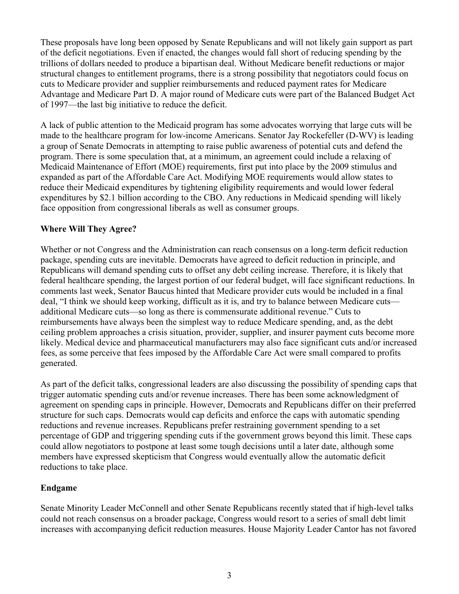These proposals have long been opposed by Senate Republicans and will not likely gain support as part of the deficit negotiations. Even if enacted, the changes would fall short of reducing spending by the trillions of dollars needed to produce a bipartisan deal. Without Medicare benefit reductions or major structural changes to entitlement programs, there is a strong possibility that negotiators could focus on cuts to Medicare provider and supplier reimbursements and reduced payment rates for Medicare Advantage and Medicare Part D. A major round of Medicare cuts were part of the Balanced Budget Act of 1997—the last big initiative to reduce the deficit.

A lack of public attention to the Medicaid program has some advocates worrying that large cuts will be made to the healthcare program for low-income Americans. Senator Jay Rockefeller (D-WV) is leading a group of Senate Democrats in attempting to raise public awareness of potential cuts and defend the program. There is some speculation that, at a minimum, an agreement could include a relaxing of Medicaid Maintenance of Effort (MOE) requirements, first put into place by the 2009 stimulus and expanded as part of the Affordable Care Act. Modifying MOE requirements would allow states to reduce their Medicaid expenditures by tightening eligibility requirements and would lower federal expenditures by \$2.1 billion according to the CBO. Any reductions in Medicaid spending will likely face opposition from congressional liberals as well as consumer groups.

#### **Where Will They Agree?**

Whether or not Congress and the Administration can reach consensus on a long-term deficit reduction package, spending cuts are inevitable. Democrats have agreed to deficit reduction in principle, and Republicans will demand spending cuts to offset any debt ceiling increase. Therefore, it is likely that federal healthcare spending, the largest portion of our federal budget, will face significant reductions. In comments last week, Senator Baucus hinted that Medicare provider cuts would be included in a final deal, "I think we should keep working, difficult as it is, and try to balance between Medicare cuts additional Medicare cuts—so long as there is commensurate additional revenue." Cuts to reimbursements have always been the simplest way to reduce Medicare spending, and, as the debt ceiling problem approaches a crisis situation, provider, supplier, and insurer payment cuts become more likely. Medical device and pharmaceutical manufacturers may also face significant cuts and/or increased fees, as some perceive that fees imposed by the Affordable Care Act were small compared to profits generated.

As part of the deficit talks, congressional leaders are also discussing the possibility of spending caps that trigger automatic spending cuts and/or revenue increases. There has been some acknowledgment of agreement on spending caps in principle. However, Democrats and Republicans differ on their preferred structure for such caps. Democrats would cap deficits and enforce the caps with automatic spending reductions and revenue increases. Republicans prefer restraining government spending to a set percentage of GDP and triggering spending cuts if the government grows beyond this limit. These caps could allow negotiators to postpone at least some tough decisions until a later date, although some members have expressed skepticism that Congress would eventually allow the automatic deficit reductions to take place.

# **Endgame**

Senate Minority Leader McConnell and other Senate Republicans recently stated that if high-level talks could not reach consensus on a broader package, Congress would resort to a series of small debt limit increases with accompanying deficit reduction measures. House Majority Leader Cantor has not favored